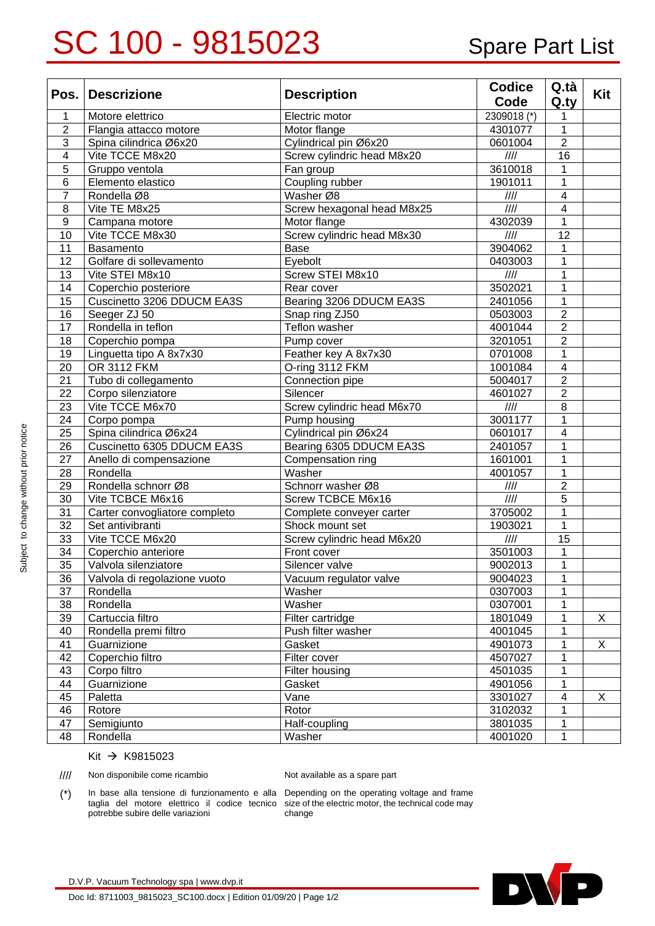## SC 100 - 9815023 Spare Part List

|                 | Pos. Descrizione              | <b>Description</b>         | <b>Codice</b>     | Q.tà            | Kit |
|-----------------|-------------------------------|----------------------------|-------------------|-----------------|-----|
|                 |                               |                            | Code              | Q.ty            |     |
| 1               | Motore elettrico              | Electric motor             | 2309018 (*)       | 1               |     |
| $\overline{2}$  | Flangia attacco motore        | Motor flange               | 4301077           | 1               |     |
| 3               | Spina cilindrica Ø6x20        | Cylindrical pin Ø6x20      | 0601004           | $\overline{2}$  |     |
| $\overline{4}$  | Vite TCCE M8x20               | Screw cylindric head M8x20 | $\frac{1}{1}$     | 16              |     |
| 5               | Gruppo ventola                | Fan group                  | 3610018           | 1               |     |
| 6               | Elemento elastico             | Coupling rubber            | 1901011           | 1               |     |
| $\overline{7}$  | Rondella Ø8                   | Washer Ø8                  | $\frac{1}{1}$     | $\overline{4}$  |     |
| 8               | Vite TE M8x25                 | Screw hexagonal head M8x25 | $\frac{1}{1}$     | $\overline{4}$  |     |
| 9               | Campana motore                | Motor flange               | 4302039           | 1               |     |
| 10              | Vite TCCE M8x30               | Screw cylindric head M8x30 | III               | 12              |     |
| 11              | <b>Basamento</b>              | Base                       | 3904062           | 1               |     |
| 12              | Golfare di sollevamento       | Eyebolt                    | 0403003           | 1               |     |
| 13              | Vite STEI M8x10               | Screw STEI M8x10           | $\frac{1}{1}$     | 1               |     |
| 14              | Coperchio posteriore          | Rear cover                 | 3502021           | 1               |     |
| 15              | Cuscinetto 3206 DDUCM EA3S    | Bearing 3206 DDUCM EA3S    | 2401056           | 1               |     |
| 16              | Seeger ZJ 50                  | Snap ring ZJ50             | 0503003           | $\overline{2}$  |     |
| 17              | Rondella in teflon            | Teflon washer              | 4001044           | $\overline{2}$  |     |
| 18              | Coperchio pompa               | Pump cover                 | 3201051           | $\overline{2}$  |     |
| 19              | Linguetta tipo A 8x7x30       | Feather key A 8x7x30       | 0701008           | 1               |     |
| 20              | OR 3112 FKM                   | O-ring 3112 FKM            | 1001084           | $\overline{4}$  |     |
| 21              | Tubo di collegamento          | Connection pipe            | 5004017           | $\overline{2}$  |     |
| 22              | Corpo silenziatore            | Silencer                   | 4601027           | $\overline{2}$  |     |
| 23              | Vite TCCE M6x70               | Screw cylindric head M6x70 | $\frac{1}{1}$     | 8               |     |
| 24              | Corpo pompa                   | Pump housing               | 3001177           | 1               |     |
| 25              | Spina cilindrica Ø6x24        | Cylindrical pin Ø6x24      | 0601017           | $\overline{4}$  |     |
| 26              | Cuscinetto 6305 DDUCM EA3S    | Bearing 6305 DDUCM EA3S    | 2401057           | 1               |     |
| 27              | Anello di compensazione       | Compensation ring          | 1601001           | 1               |     |
| 28              | Rondella                      | Washer                     | 4001057           | 1               |     |
| 29              | Rondella schnorr Ø8           | Schnorr washer Ø8          | $\frac{1}{1}$     | $\overline{2}$  |     |
| 30              | Vite TCBCE M6x16              | Screw TCBCE M6x16          | $\overline{1111}$ | 5               |     |
| 31              | Carter convogliatore completo | Complete conveyer carter   | 3705002           | $\mathbf{1}$    |     |
| 32              | Set antivibranti              | Shock mount set            | 1903021           | 1               |     |
| 33              | Vite TCCE M6x20               | Screw cylindric head M6x20 | $\frac{1}{1}$     | $\overline{15}$ |     |
| 34              | Coperchio anteriore           | Front cover                | 3501003           | 1               |     |
| $\overline{35}$ | Valvola silenziatore          | Silencer valve             | 9002013           | $\mathbf{1}$    |     |
| 36              | Valvola di regolazione vuoto  | Vacuum regulator valve     | 9004023           | 1               |     |
| 37              | Rondella                      | Washer                     | 0307003           | $\mathbf 1$     |     |
| 38              | Rondella                      | Washer                     | 0307001           | 1               |     |
| 39              | Cartuccia filtro              | Filter cartridge           | 1801049           | 1               | X   |
| 40              | Rondella premi filtro         | Push filter washer         | 4001045           | 1               |     |
| 41              | Guarnizione                   | Gasket                     | 4901073           | 1               | Χ   |
| 42              | Coperchio filtro              | Filter cover               | 4507027           | 1               |     |
| 43              | Corpo filtro                  | Filter housing             | 4501035           | 1               |     |
| 44              | Guarnizione                   | Gasket                     | 4901056           | 1               |     |
| 45              | Paletta                       | Vane                       | 3301027           | 4               | X   |
| 46              | Rotore                        | Rotor                      | 3102032           | 1               |     |
| 47              | Semigiunto                    | Half-coupling              | 3801035           | 1               |     |
| 48              | Rondella                      | Washer                     | 4001020           | 1               |     |

## Kit → K9815023

//// Non disponibile come ricambio Not available as a spare part

(\*) In base alla tensione di funzionamento e alla Depending on the operating voltage and frame taglia del motore elettrico il codice tecnico potrebbe subire delle variazioni

size of the electric motor, the technical code may change